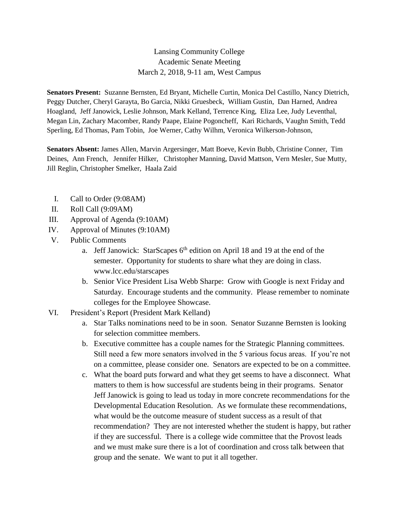## Lansing Community College Academic Senate Meeting March 2, 2018, 9-11 am, West Campus

**Senators Present:** Suzanne Bernsten, Ed Bryant, Michelle Curtin, Monica Del Castillo, Nancy Dietrich, Peggy Dutcher, Cheryl Garayta, Bo Garcia, Nikki Gruesbeck, William Gustin, Dan Harned, Andrea Hoagland, Jeff Janowick, Leslie Johnson, Mark Kelland, Terrence King, Eliza Lee, Judy Leventhal, Megan Lin, Zachary Macomber, Randy Paape, Elaine Pogoncheff, Kari Richards, Vaughn Smith, Tedd Sperling, Ed Thomas, Pam Tobin, Joe Werner, Cathy Wilhm, Veronica Wilkerson-Johnson,

**Senators Absent:** James Allen, Marvin Argersinger, Matt Boeve, Kevin Bubb, Christine Conner, Tim Deines, Ann French, Jennifer Hilker, Christopher Manning, David Mattson, Vern Mesler, Sue Mutty, Jill Reglin, Christopher Smelker, Haala Zaid

- I. Call to Order (9:08AM)
- II. Roll Call (9:09AM)
- III. Approval of Agenda (9:10AM)
- IV. Approval of Minutes (9:10AM)
- V. Public Comments
	- a. Jeff Janowick: StarScapes  $6<sup>th</sup>$  edition on April 18 and 19 at the end of the semester. Opportunity for students to share what they are doing in class. www.lcc.edu/starscapes
	- b. Senior Vice President Lisa Webb Sharpe: Grow with Google is next Friday and Saturday. Encourage students and the community. Please remember to nominate colleges for the Employee Showcase.
- VI. President's Report (President Mark Kelland)
	- a. Star Talks nominations need to be in soon. Senator Suzanne Bernsten is looking for selection committee members.
	- b. Executive committee has a couple names for the Strategic Planning committees. Still need a few more senators involved in the 5 various focus areas. If you're not on a committee, please consider one. Senators are expected to be on a committee.
	- c. What the board puts forward and what they get seems to have a disconnect. What matters to them is how successful are students being in their programs. Senator Jeff Janowick is going to lead us today in more concrete recommendations for the Developmental Education Resolution. As we formulate these recommendations, what would be the outcome measure of student success as a result of that recommendation? They are not interested whether the student is happy, but rather if they are successful. There is a college wide committee that the Provost leads and we must make sure there is a lot of coordination and cross talk between that group and the senate. We want to put it all together.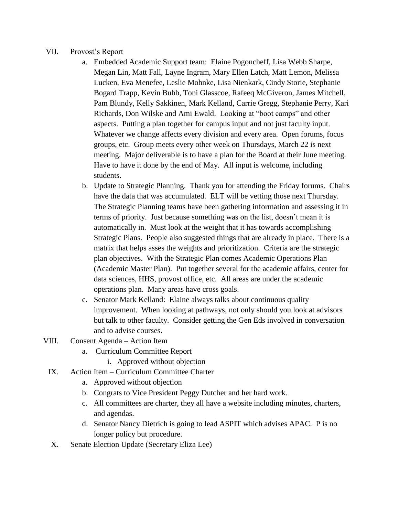## VII. Provost's Report

- a. Embedded Academic Support team: Elaine Pogoncheff, Lisa Webb Sharpe, Megan Lin, Matt Fall, Layne Ingram, Mary Ellen Latch, Matt Lemon, Melissa Lucken, Eva Menefee, Leslie Mohnke, Lisa Nienkark, Cindy Storie, Stephanie Bogard Trapp, Kevin Bubb, Toni Glasscoe, Rafeeq McGiveron, James Mitchell, Pam Blundy, Kelly Sakkinen, Mark Kelland, Carrie Gregg, Stephanie Perry, Kari Richards, Don Wilske and Ami Ewald. Looking at "boot camps" and other aspects. Putting a plan together for campus input and not just faculty input. Whatever we change affects every division and every area. Open forums, focus groups, etc. Group meets every other week on Thursdays, March 22 is next meeting. Major deliverable is to have a plan for the Board at their June meeting. Have to have it done by the end of May. All input is welcome, including students.
- b. Update to Strategic Planning. Thank you for attending the Friday forums. Chairs have the data that was accumulated. ELT will be vetting those next Thursday. The Strategic Planning teams have been gathering information and assessing it in terms of priority. Just because something was on the list, doesn't mean it is automatically in. Must look at the weight that it has towards accomplishing Strategic Plans. People also suggested things that are already in place. There is a matrix that helps asses the weights and prioritization. Criteria are the strategic plan objectives. With the Strategic Plan comes Academic Operations Plan (Academic Master Plan). Put together several for the academic affairs, center for data sciences, HHS, provost office, etc. All areas are under the academic operations plan. Many areas have cross goals.
- c. Senator Mark Kelland: Elaine always talks about continuous quality improvement. When looking at pathways, not only should you look at advisors but talk to other faculty. Consider getting the Gen Eds involved in conversation and to advise courses.
- VIII. Consent Agenda Action Item
	- a. Curriculum Committee Report
		- i. Approved without objection
	- IX. Action Item Curriculum Committee Charter
		- a. Approved without objection
		- b. Congrats to Vice President Peggy Dutcher and her hard work.
		- c. All committees are charter, they all have a website including minutes, charters, and agendas.
		- d. Senator Nancy Dietrich is going to lead ASPIT which advises APAC. P is no longer policy but procedure.
	- X. Senate Election Update (Secretary Eliza Lee)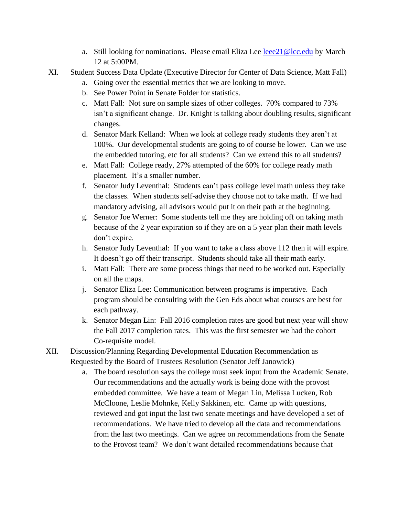- a. Still looking for nominations. Please email Eliza Lee [leee21@lcc.edu](mailto:leee21@lcc.edu) by March 12 at 5:00PM.
- XI. Student Success Data Update (Executive Director for Center of Data Science, Matt Fall)
	- a. Going over the essential metrics that we are looking to move.
	- b. See Power Point in Senate Folder for statistics.
	- c. Matt Fall: Not sure on sample sizes of other colleges. 70% compared to 73% isn't a significant change. Dr. Knight is talking about doubling results, significant changes.
	- d. Senator Mark Kelland: When we look at college ready students they aren't at 100%. Our developmental students are going to of course be lower. Can we use the embedded tutoring, etc for all students? Can we extend this to all students?
	- e. Matt Fall: College ready, 27% attempted of the 60% for college ready math placement. It's a smaller number.
	- f. Senator Judy Leventhal: Students can't pass college level math unless they take the classes. When students self-advise they choose not to take math. If we had mandatory advising, all advisors would put it on their path at the beginning.
	- g. Senator Joe Werner: Some students tell me they are holding off on taking math because of the 2 year expiration so if they are on a 5 year plan their math levels don't expire.
	- h. Senator Judy Leventhal: If you want to take a class above 112 then it will expire. It doesn't go off their transcript. Students should take all their math early.
	- i. Matt Fall: There are some process things that need to be worked out. Especially on all the maps.
	- j. Senator Eliza Lee: Communication between programs is imperative. Each program should be consulting with the Gen Eds about what courses are best for each pathway.
	- k. Senator Megan Lin: Fall 2016 completion rates are good but next year will show the Fall 2017 completion rates. This was the first semester we had the cohort Co-requisite model.
- XII. Discussion/Planning Regarding Developmental Education Recommendation as Requested by the Board of Trustees Resolution (Senator Jeff Janowick)
	- a. The board resolution says the college must seek input from the Academic Senate. Our recommendations and the actually work is being done with the provost embedded committee. We have a team of Megan Lin, Melissa Lucken, Rob McCloone, Leslie Mohnke, Kelly Sakkinen, etc. Came up with questions, reviewed and got input the last two senate meetings and have developed a set of recommendations. We have tried to develop all the data and recommendations from the last two meetings. Can we agree on recommendations from the Senate to the Provost team? We don't want detailed recommendations because that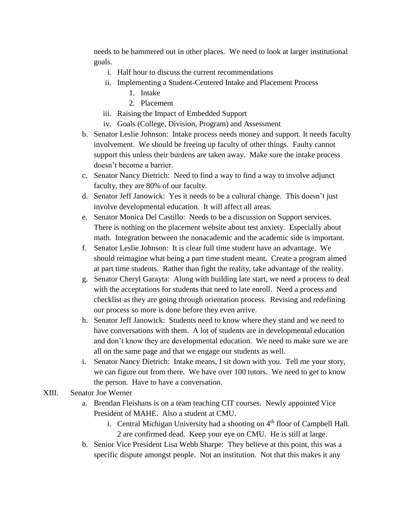needs to be hammered out in other places. We need to look at larger institutional goals.

- i. Half hour to discuss the current recommendations
- ii. Implementing a Student-Centered Intake and Placement Process
	- 1. Intake
	- 2. Placement
- iii. Raising the Impact of Embedded Support
- iv. Goals (College, Division, Program) and Assessment
- b. Senator Leslie Johnson: Intake process needs money and support. It needs faculty involvement. We should be freeing up faculty of other things. Faulty cannot support this unless their burdens are taken away. Make sure the intake process doesn't become a barrier.
- c. Senator Nancy Dietrich: Need to find a way to find a way to involve adjunct faculty, they are 80% of our faculty.
- d. Senator Jeff Janowick: Yes it needs to be a cultural change. This doesn't just involve developmental education. It will affect all areas.
- e. Senator Monica Del Castillo: Needs to be a discussion on Support services. There is nothing on the placement website about test anxiety. Especially about math. Integration between the nonacademic and the academic side is important.
- f. Senator Leslie Johnson: It is clear full time student have an advantage. We should reimagine what being a part time student meant. Create a program aimed at part time students. Rather than fight the reality, take advantage of the reality.
- g. Senator Cheryl Garayta: Along with building late start, we need a process to deal with the acceptations for students that need to late enroll. Need a process and checklist as they are going through orientation process. Revising and redefining our process so more is done before they even arrive.
- h. Senator Jeff Janowick: Students need to know where they stand and we need to have conversations with them. A lot of students are in developmental education and don't know they are developmental education. We need to make sure we are all on the same page and that we engage our students as well.
- i. Senator Nancy Dietrich: Intake means, I sit down with you. Tell me your story, we can figure out from there. We have over 100 tutors. We need to get to know the person. Have to have a conversation.

## XIII. Senator Joe Werner

- a. Brendan Fleishans is on a team teaching CIT courses. Newly appointed Vice President of MAHE. Also a student at CMU.
	- i. Central Michigan University had a shooting on 4<sup>th</sup> floor of Campbell Hall. 2 are confirmed dead. Keep your eye on CMU. He is still at large.
- b. Senior Vice President Lisa Webb Sharpe: They believe at this point, this was a specific dispute amongst people. Not an institution. Not that this makes it any